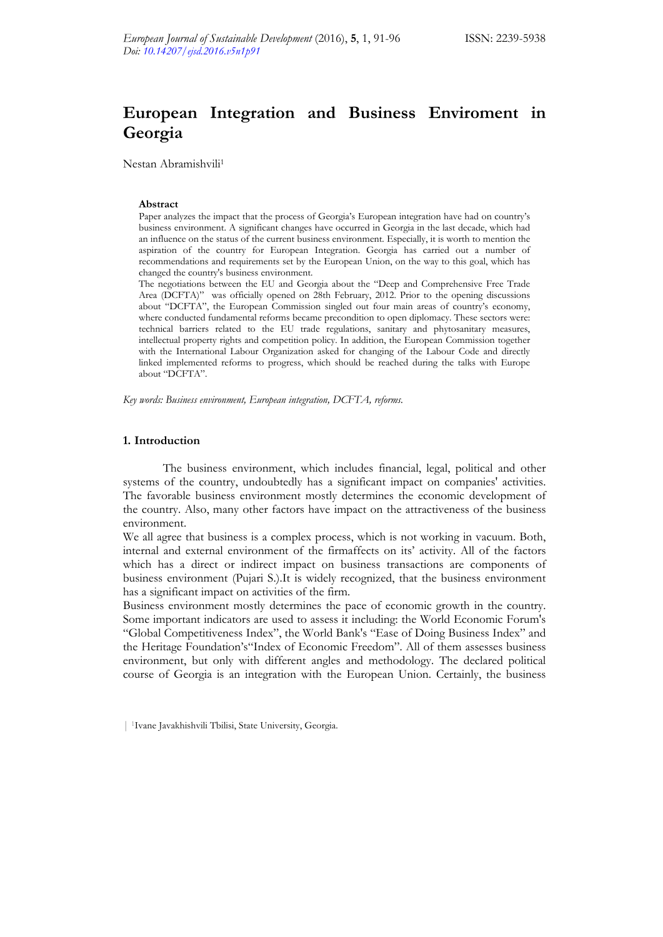## **European Integration and Business Enviroment in Georgia**

Nestan Abramishvili1

## **Abstract**

Paper analyzes the impact that the process of Georgia's European integration have had on country's business environment. A significant changes have occurred in Georgia in the last decade, which had an influence on the status of the current business environment. Especially, it is worth to mention the aspiration of the country for European Integration. Georgia has carried out a number of recommendations and requirements set by the European Union, on the way to this goal, which has changed the country's business environment.

The negotiations between the EU and Georgia about the "Deep and Comprehensive Free Trade Area (DCFTA)" was officially opened on 28th February, 2012. Prior to the opening discussions about "DCFTA", the European Commission singled out four main areas of country's economy, where conducted fundamental reforms became precondition to open diplomacy. These sectors were: technical barriers related to the EU trade regulations, sanitary and phytosanitary measures, intellectual property rights and competition policy. In addition, the European Commission together with the International Labour Organization asked for changing of the Labour Code and directly linked implemented reforms to progress, which should be reached during the talks with Europe about "DCFTA".

*Key words: Business environment, European integration, DCFTA, reforms.* 

## **1. Introduction**

The business environment, which includes financial, legal, political and other systems of the country, undoubtedly has a significant impact on companies' activities. The favorable business environment mostly determines the economic development of the country. Also, many other factors have impact on the attractiveness of the business environment.

We all agree that business is a complex process, which is not working in vacuum. Both, internal and external environment of the firmaffects on its' activity. All of the factors which has a direct or indirect impact on business transactions are components of business environment (Pujari S.).It is widely recognized, that the business environment has a significant impact on activities of the firm.

Business environment mostly determines the pace of economic growth in the country. Some important indicators are used to assess it including: the World Economic Forum's "Global Competitiveness Index", the World Bank's "Ease of Doing Business Index" and the Heritage Foundation's"Index of Economic Freedom". All of them assesses business environment, but only with different angles and methodology. The declared political course of Georgia is an integration with the European Union. Certainly, the business

<sup>| 1</sup>Ivane Javakhishvili Tbilisi, State University, Georgia.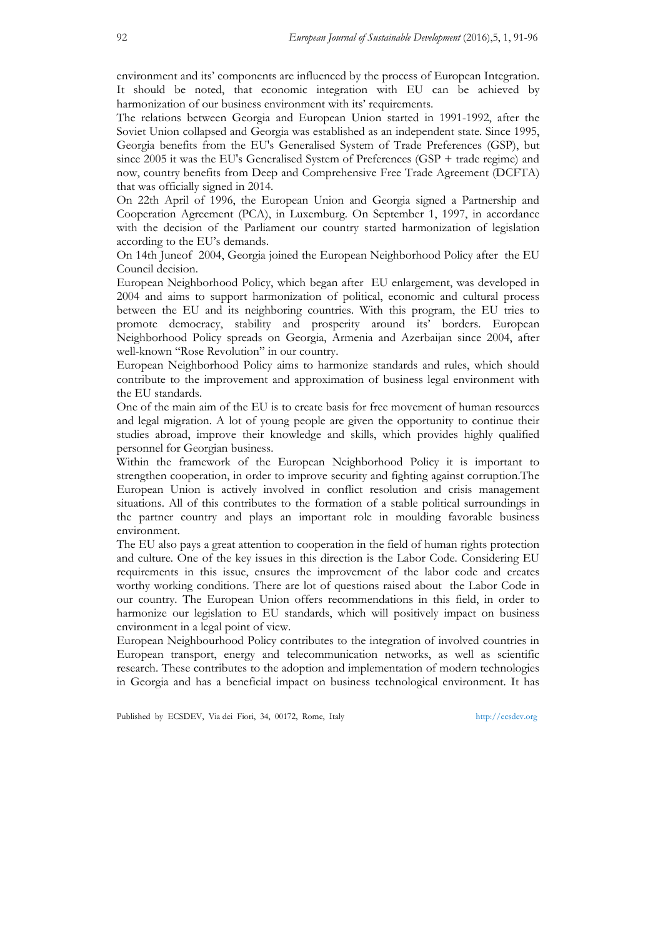environment and its' components are influenced by the process of European Integration. It should be noted, that economic integration with EU can be achieved by harmonization of our business environment with its' requirements.

The relations between Georgia and European Union started in 1991-1992, after the Soviet Union collapsed and Georgia was established as an independent state. Since 1995, Georgia benefits from the EU's Generalised System of Trade Preferences (GSP), but since 2005 it was the EU's Generalised System of Preferences (GSP + trade regime) and now, country benefits from Deep and Comprehensive Free Trade Agreement (DCFTA) that was officially signed in 2014.

On 22th April of 1996, the European Union and Georgia signed a Partnership and Cooperation Agreement (PCA), in Luxemburg. On September 1, 1997, in accordance with the decision of the Parliament our country started harmonization of legislation according to the EU's demands.

On 14th Juneof 2004, Georgia joined the European Neighborhood Policy after the EU Council decision.

European Neighborhood Policy, which began after EU enlargement, was developed in 2004 and aims to support harmonization of political, economic and cultural process between the EU and its neighboring countries. With this program, the EU tries to promote democracy, stability and prosperity around its' borders. European Neighborhood Policy spreads on Georgia, Armenia and Azerbaijan since 2004, after well-known "Rose Revolution" in our country.

European Neighborhood Policy aims to harmonize standards and rules, which should contribute to the improvement and approximation of business legal environment with the EU standards.

One of the main aim of the EU is to create basis for free movement of human resources and legal migration. A lot of young people are given the opportunity to continue their studies abroad, improve their knowledge and skills, which provides highly qualified personnel for Georgian business.

Within the framework of the European Neighborhood Policy it is important to strengthen cooperation, in order to improve security and fighting against corruption.The European Union is actively involved in conflict resolution and crisis management situations. All of this contributes to the formation of a stable political surroundings in the partner country and plays an important role in moulding favorable business environment.

The EU also pays a great attention to cooperation in the field of human rights protection and culture. One of the key issues in this direction is the Labor Code. Considering EU requirements in this issue, ensures the improvement of the labor code and creates worthy working conditions. There are lot of questions raised about the Labor Code in our country. The European Union offers recommendations in this field, in order to harmonize our legislation to EU standards, which will positively impact on business environment in a legal point of view.

European Neighbourhood Policy contributes to the integration of involved countries in European transport, energy and telecommunication networks, as well as scientific research. These contributes to the adoption and implementation of modern technologies in Georgia and has a beneficial impact on business technological environment. It has

Published by ECSDEV, Via dei Fiori, 34, 00172, Rome, Italy http://ecsdev.org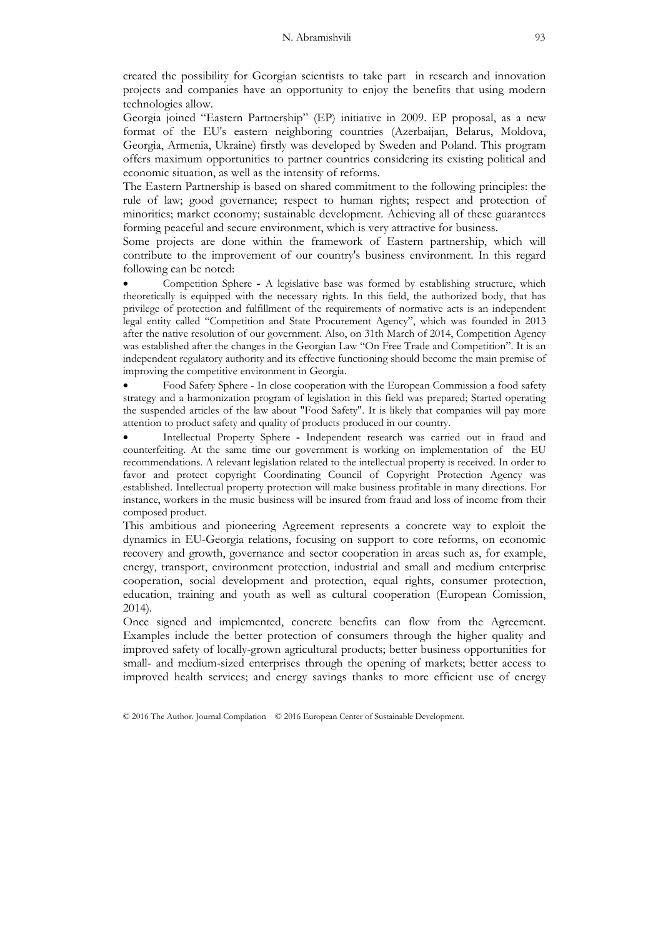created the possibility for Georgian scientists to take part in research and innovation projects and companies have an opportunity to enjoy the benefits that using modern technologies allow.

Georgia joined "Eastern Partnership" (EP) initiative in 2009. EP proposal, as a new format of the EU's eastern neighboring countries (Azerbaijan, Belarus, Moldova, Georgia, Armenia, Ukraine) firstly was developed by Sweden and Poland. This program offers maximum opportunities to partner countries considering its existing political and economic situation, as well as the intensity of reforms.

The Eastern Partnership is based on shared commitment to the following principles: the rule of law; good governance; respect to human rights; respect and protection of minorities; market economy; sustainable development. Achieving all of these guarantees forming peaceful and secure environment, which is very attractive for business.

Some projects are done within the framework of Eastern partnership, which will contribute to the improvement of our country's business environment. In this regard following can be noted:

 Competition Sphere **-** A legislative base was formed by establishing structure, which theoretically is equipped with the necessary rights. In this field, the authorized body, that has privilege of protection and fulfillment of the requirements of normative acts is an independent legal entity called "Competition and State Procurement Agency", which was founded in 2013 after the native resolution of our government. Also, on 31th March of 2014, Competition Agency was established after the changes in the Georgian Law "On Free Trade and Competition". It is an independent regulatory authority and its effective functioning should become the main premise of improving the competitive environment in Georgia.

 Food Safety Sphere - In close cooperation with the European Commission a food safety strategy and a harmonization program of legislation in this field was prepared; Started operating the suspended articles of the law about "Food Safety". It is likely that companies will pay more attention to product safety and quality of products produced in our country.

 Intellectual Property Sphere **-** Independent research was carried out in fraud and counterfeiting. At the same time our government is working on implementation of the EU recommendations. A relevant legislation related to the intellectual property is received. In order to favor and protect copyright Coordinating Council of Copyright Protection Agency was established. Intellectual property protection will make business profitable in many directions. For instance, workers in the music business will be insured from fraud and loss of income from their composed product.

This ambitious and pioneering Agreement represents a concrete way to exploit the dynamics in EU-Georgia relations, focusing on support to core reforms, on economic recovery and growth, governance and sector cooperation in areas such as, for example, energy, transport, environment protection, industrial and small and medium enterprise cooperation, social development and protection, equal rights, consumer protection, education, training and youth as well as cultural cooperation (European Comission, 2014).

Once signed and implemented, concrete benefits can flow from the Agreement. Examples include the better protection of consumers through the higher quality and improved safety of locally-grown agricultural products; better business opportunities for small- and medium-sized enterprises through the opening of markets; better access to improved health services; and energy savings thanks to more efficient use of energy

© 2016 The Author. Journal Compilation © 2016 European Center of Sustainable Development.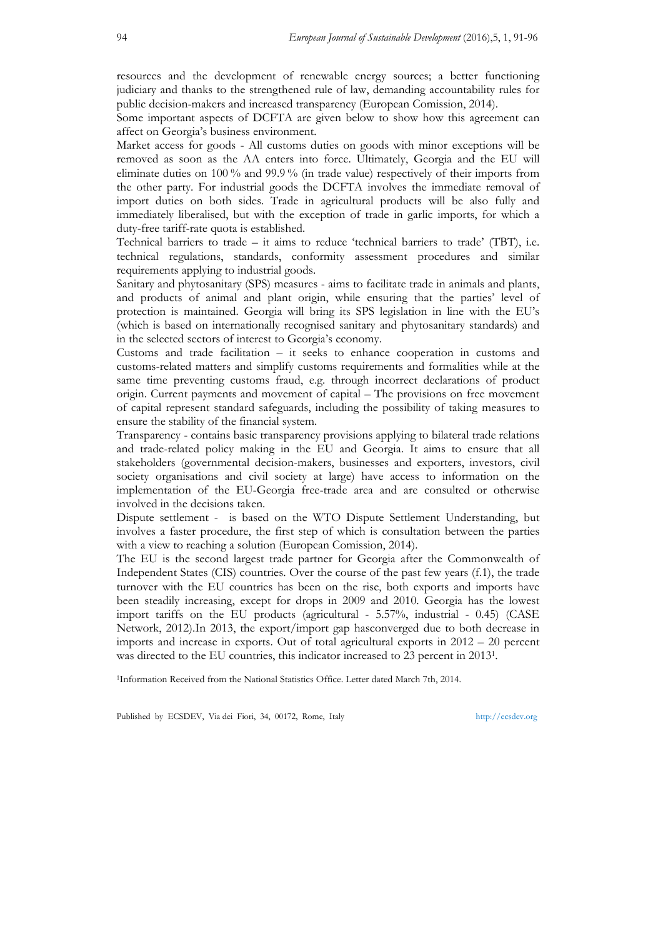resources and the development of renewable energy sources; a better functioning judiciary and thanks to the strengthened rule of law, demanding accountability rules for public decision-makers and increased transparency (European Comission, 2014).

Some important aspects of DCFTA are given below to show how this agreement can affect on Georgia's business environment.

Market access for goods - All customs duties on goods with minor exceptions will be removed as soon as the AA enters into force. Ultimately, Georgia and the EU will eliminate duties on 100 % and 99.9 % (in trade value) respectively of their imports from the other party. For industrial goods the DCFTA involves the immediate removal of import duties on both sides. Trade in agricultural products will be also fully and immediately liberalised, but with the exception of trade in garlic imports, for which a duty-free tariff-rate quota is established.

Technical barriers to trade – it aims to reduce 'technical barriers to trade' (TBT), i.e. technical regulations, standards, conformity assessment procedures and similar requirements applying to industrial goods.

Sanitary and phytosanitary (SPS) measures - aims to facilitate trade in animals and plants, and products of animal and plant origin, while ensuring that the parties' level of protection is maintained. Georgia will bring its SPS legislation in line with the EU's (which is based on internationally recognised sanitary and phytosanitary standards) and in the selected sectors of interest to Georgia's economy.

Customs and trade facilitation – it seeks to enhance cooperation in customs and customs-related matters and simplify customs requirements and formalities while at the same time preventing customs fraud, e.g. through incorrect declarations of product origin. Current payments and movement of capital – The provisions on free movement of capital represent standard safeguards, including the possibility of taking measures to ensure the stability of the financial system.

Transparency - contains basic transparency provisions applying to bilateral trade relations and trade-related policy making in the EU and Georgia. It aims to ensure that all stakeholders (governmental decision-makers, businesses and exporters, investors, civil society organisations and civil society at large) have access to information on the implementation of the EU-Georgia free-trade area and are consulted or otherwise involved in the decisions taken.

Dispute settlement - is based on the WTO Dispute Settlement Understanding, but involves a faster procedure, the first step of which is consultation between the parties with a view to reaching a solution (European Comission, 2014).

The EU is the second largest trade partner for Georgia after the Commonwealth of Independent States (CIS) countries. Over the course of the past few years (f.1), the trade turnover with the EU countries has been on the rise, both exports and imports have been steadily increasing, except for drops in 2009 and 2010. Georgia has the lowest import tariffs on the EU products (agricultural - 5.57%, industrial - 0.45) (CASE Network, 2012).In 2013, the export/import gap hasconverged due to both decrease in imports and increase in exports. Out of total agricultural exports in 2012 – 20 percent was directed to the EU countries, this indicator increased to 23 percent in 20131.

1Information Received from the National Statistics Office. Letter dated March 7th, 2014.

Published by ECSDEV, Via dei Fiori, 34, 00172, Rome, Italy http://ecsdev.org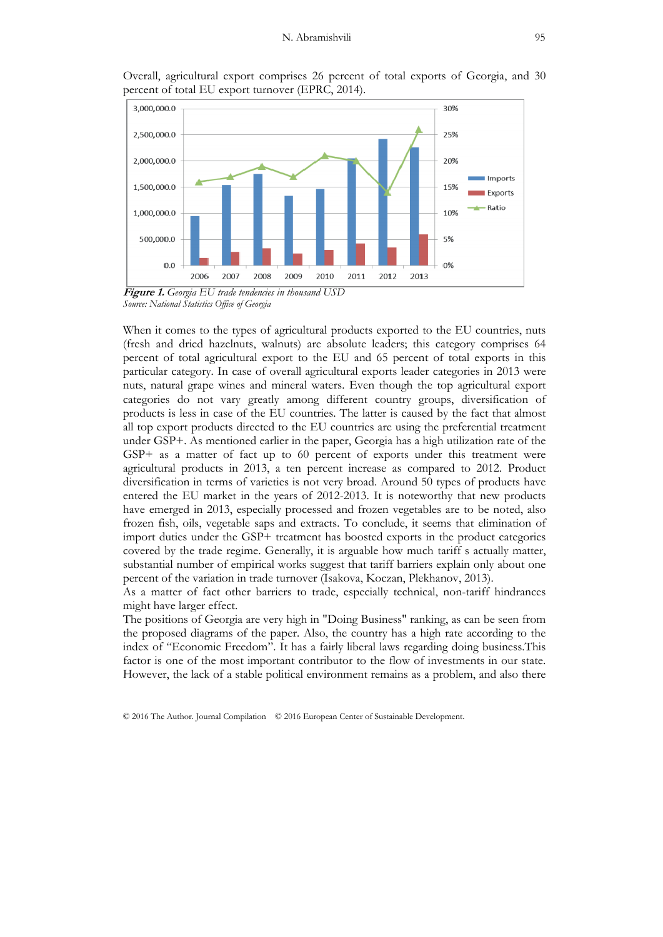



*Source: National Statistics Office of Georgia* 

When it comes to the types of agricultural products exported to the EU countries, nuts (fresh and dried hazelnuts, walnuts) are absolute leaders; this category comprises 64 percent of total agricultural export to the EU and 65 percent of total exports in this particular category. In case of overall agricultural exports leader categories in 2013 were nuts, natural grape wines and mineral waters. Even though the top agricultural export categories do not vary greatly among different country groups, diversification of products is less in case of the EU countries. The latter is caused by the fact that almost all top export products directed to the EU countries are using the preferential treatment under GSP+. As mentioned earlier in the paper, Georgia has a high utilization rate of the GSP+ as a matter of fact up to 60 percent of exports under this treatment were agricultural products in 2013, a ten percent increase as compared to 2012. Product diversification in terms of varieties is not very broad. Around 50 types of products have entered the EU market in the years of 2012-2013. It is noteworthy that new products have emerged in 2013, especially processed and frozen vegetables are to be noted, also frozen fish, oils, vegetable saps and extracts. To conclude, it seems that elimination of import duties under the GSP+ treatment has boosted exports in the product categories covered by the trade regime. Generally, it is arguable how much tariff s actually matter, substantial number of empirical works suggest that tariff barriers explain only about one percent of the variation in trade turnover (Isakova, Koczan, Plekhanov, 2013).

As a matter of fact other barriers to trade, especially technical, non-tariff hindrances might have larger effect.

The positions of Georgia are very high in "Doing Business" ranking, as can be seen from the proposed diagrams of the paper. Also, the country has a high rate according to the index of "Economic Freedom". It has a fairly liberal laws regarding doing business.This factor is one of the most important contributor to the flow of investments in our state. However, the lack of a stable political environment remains as a problem, and also there

© 2016 The Author. Journal Compilation © 2016 European Center of Sustainable Development.